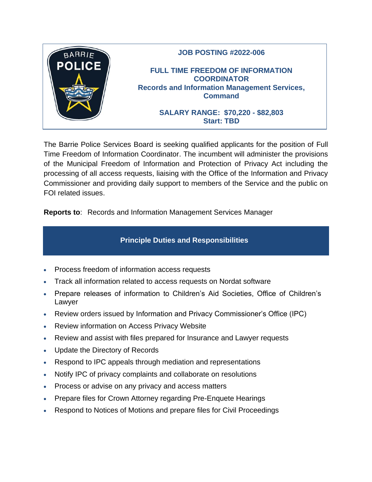

The Barrie Police Services Board is seeking qualified applicants for the position of Full Time Freedom of Information Coordinator. The incumbent will administer the provisions of the Municipal Freedom of Information and Protection of Privacy Act including the processing of all access requests, liaising with the Office of the Information and Privacy Commissioner and providing daily support to members of the Service and the public on FOI related issues.

**Reports to**: Records and Information Management Services Manager

# **Principle Duties and Responsibilities**

- Process freedom of information access requests
- Track all information related to access requests on Nordat software
- Prepare releases of information to Children's Aid Societies, Office of Children's Lawyer
- Review orders issued by Information and Privacy Commissioner's Office (IPC)
- Review information on Access Privacy Website
- Review and assist with files prepared for Insurance and Lawyer requests
- Update the Directory of Records
- Respond to IPC appeals through mediation and representations
- Notify IPC of privacy complaints and collaborate on resolutions
- Process or advise on any privacy and access matters
- Prepare files for Crown Attorney regarding Pre-Enquete Hearings
- Respond to Notices of Motions and prepare files for Civil Proceedings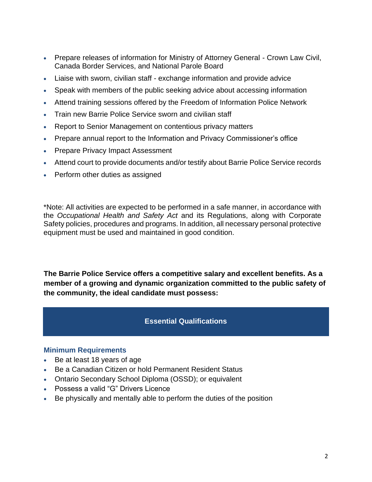- Prepare releases of information for Ministry of Attorney General Crown Law Civil, Canada Border Services, and National Parole Board
- Liaise with sworn, civilian staff exchange information and provide advice
- Speak with members of the public seeking advice about accessing information
- Attend training sessions offered by the Freedom of Information Police Network
- Train new Barrie Police Service sworn and civilian staff
- Report to Senior Management on contentious privacy matters
- Prepare annual report to the Information and Privacy Commissioner's office
- Prepare Privacy Impact Assessment
- Attend court to provide documents and/or testify about Barrie Police Service records
- Perform other duties as assigned

\*Note: All activities are expected to be performed in a safe manner, in accordance with the *Occupational Health and Safety Act* and its Regulations, along with Corporate Safety policies, procedures and programs. In addition, all necessary personal protective equipment must be used and maintained in good condition.

**The Barrie Police Service offers a competitive salary and excellent benefits. As a member of a growing and dynamic organization committed to the public safety of the community, the ideal candidate must possess:**

### **Essential Qualifications**

#### **Minimum Requirements**

- Be at least 18 years of age
- Be a Canadian Citizen or hold Permanent Resident Status
- Ontario Secondary School Diploma (OSSD); or equivalent
- Possess a valid "G" Drivers Licence
- Be physically and mentally able to perform the duties of the position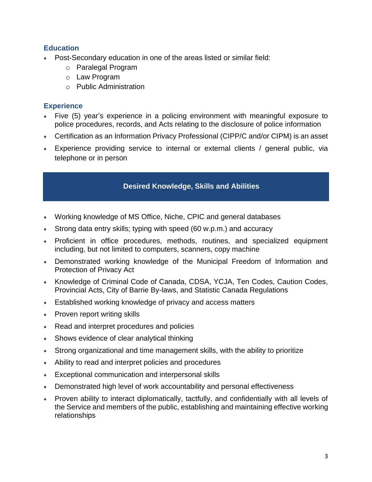### **Education**

- Post-Secondary education in one of the areas listed or similar field:
	- o Paralegal Program
	- o Law Program
	- o Public Administration

### **Experience**

- Five (5) year's experience in a policing environment with meaningful exposure to police procedures, records, and Acts relating to the disclosure of police information
- Certification as an Information Privacy Professional (CIPP/C and/or CIPM) is an asset
- Experience providing service to internal or external clients / general public, via telephone or in person

## • **Desired Knowledge, Skills and Abilities**

- Working knowledge of MS Office, Niche, CPIC and general databases
- Strong data entry skills; typing with speed (60 w.p.m.) and accuracy
- Proficient in office procedures, methods, routines, and specialized equipment including, but not limited to computers, scanners, copy machine
- Demonstrated working knowledge of the Municipal Freedom of Information and Protection of Privacy Act
- Knowledge of Criminal Code of Canada, CDSA, YCJA, Ten Codes, Caution Codes, Provincial Acts, City of Barrie By-laws, and Statistic Canada Regulations
- Established working knowledge of privacy and access matters
- Proven report writing skills
- Read and interpret procedures and policies
- Shows evidence of clear analytical thinking
- Strong organizational and time management skills, with the ability to prioritize
- Ability to read and interpret policies and procedures
- Exceptional communication and interpersonal skills
- Demonstrated high level of work accountability and personal effectiveness
- Proven ability to interact diplomatically, tactfully, and confidentially with all levels of the Service and members of the public, establishing and maintaining effective working relationships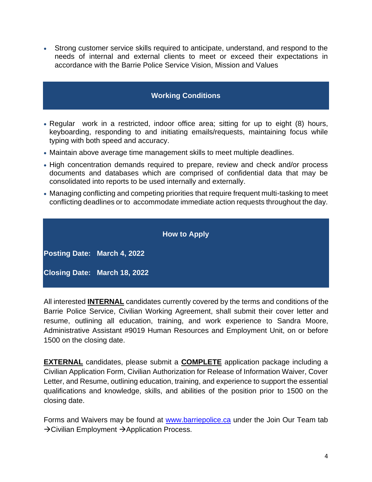• Strong customer service skills required to anticipate, understand, and respond to the needs of internal and external clients to meet or exceed their expectations in accordance with the Barrie Police Service Vision, Mission and Values

### **Working Conditions**

- Regular work in a restricted, indoor office area; sitting for up to eight (8) hours, keyboarding, responding to and initiating emails/requests, maintaining focus while typing with both speed and accuracy.
- Maintain above average time management skills to meet multiple deadlines.
- High concentration demands required to prepare, review and check and/or process documents and databases which are comprised of confidential data that may be consolidated into reports to be used internally and externally.
- Managing conflicting and competing priorities that require frequent multi-tasking to meet conflicting deadlines or to accommodate immediate action requests throughout the day.

|                              | <b>How to Apply</b> |  |
|------------------------------|---------------------|--|
| Posting Date: March 4, 2022  |                     |  |
| Closing Date: March 18, 2022 |                     |  |

All interested **INTERNAL** candidates currently covered by the terms and conditions of the Barrie Police Service, Civilian Working Agreement, shall submit their cover letter and resume, outlining all education, training, and work experience to Sandra Moore, Administrative Assistant #9019 Human Resources and Employment Unit, on or before 1500 on the closing date.

**EXTERNAL** candidates, please submit a **COMPLETE** application package including a Civilian Application Form, Civilian Authorization for Release of Information Waiver, Cover Letter, and Resume, outlining education, training, and experience to support the essential qualifications and knowledge, skills, and abilities of the position prior to 1500 on the closing date.

Forms and Waivers may be found at [www.barriepolice.ca](http://www.barriepolice.ca/) under the Join Our Team tab →Civilian Employment →Application Process.